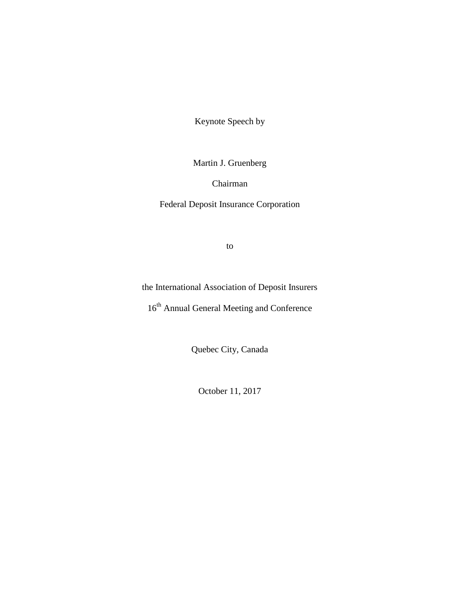Keynote Speech by

Martin J. Gruenberg

Chairman

Federal Deposit Insurance Corporation

to

the International Association of Deposit Insurers

16<sup>th</sup> Annual General Meeting and Conference

Quebec City, Canada

October 11, 2017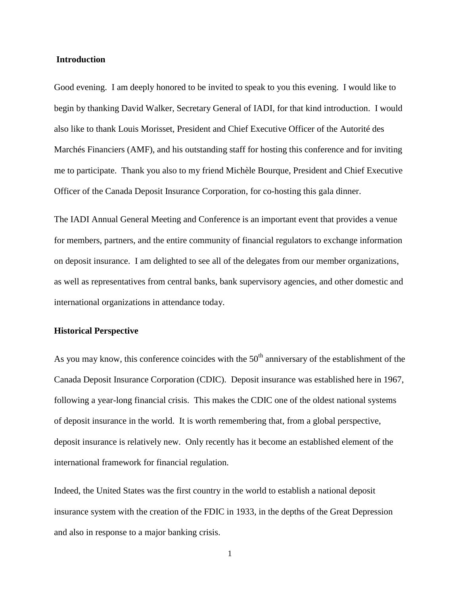### **Introduction**

Good evening. I am deeply honored to be invited to speak to you this evening. I would like to begin by thanking David Walker, Secretary General of IADI, for that kind introduction. I would also like to thank Louis Morisset, President and Chief Executive Officer of the Autorité des Marchés Financiers (AMF), and his outstanding staff for hosting this conference and for inviting me to participate. Thank you also to my friend Michèle Bourque, President and Chief Executive Officer of the Canada Deposit Insurance Corporation, for co-hosting this gala dinner.

The IADI Annual General Meeting and Conference is an important event that provides a venue for members, partners, and the entire community of financial regulators to exchange information on deposit insurance. I am delighted to see all of the delegates from our member organizations, as well as representatives from central banks, bank supervisory agencies, and other domestic and international organizations in attendance today.

#### **Historical Perspective**

As you may know, this conference coincides with the  $50<sup>th</sup>$  anniversary of the establishment of the Canada Deposit Insurance Corporation (CDIC). Deposit insurance was established here in 1967, following a year-long financial crisis. This makes the CDIC one of the oldest national systems of deposit insurance in the world. It is worth remembering that, from a global perspective, deposit insurance is relatively new. Only recently has it become an established element of the international framework for financial regulation.

Indeed, the United States was the first country in the world to establish a national deposit insurance system with the creation of the FDIC in 1933, in the depths of the Great Depression and also in response to a major banking crisis.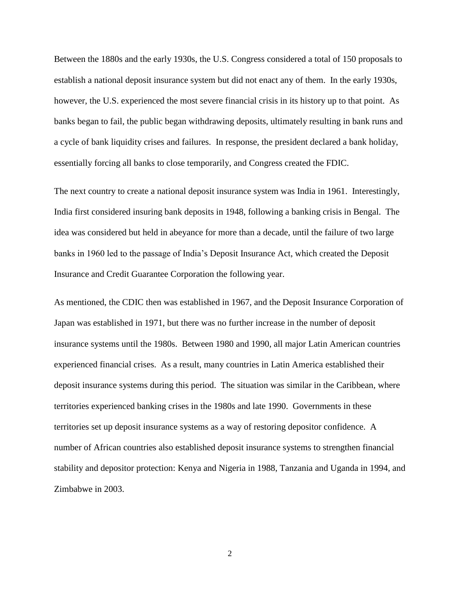Between the 1880s and the early 1930s, the U.S. Congress considered a total of 150 proposals to establish a national deposit insurance system but did not enact any of them. In the early 1930s, however, the U.S. experienced the most severe financial crisis in its history up to that point. As banks began to fail, the public began withdrawing deposits, ultimately resulting in bank runs and a cycle of bank liquidity crises and failures. In response, the president declared a bank holiday, essentially forcing all banks to close temporarily, and Congress created the FDIC.

The next country to create a national deposit insurance system was India in 1961. Interestingly, India first considered insuring bank deposits in 1948, following a banking crisis in Bengal. The idea was considered but held in abeyance for more than a decade, until the failure of two large banks in 1960 led to the passage of India's Deposit Insurance Act, which created the Deposit Insurance and Credit Guarantee Corporation the following year.

As mentioned, the CDIC then was established in 1967, and the Deposit Insurance Corporation of Japan was established in 1971, but there was no further increase in the number of deposit insurance systems until the 1980s. Between 1980 and 1990, all major Latin American countries experienced financial crises. As a result, many countries in Latin America established their deposit insurance systems during this period. The situation was similar in the Caribbean, where territories experienced banking crises in the 1980s and late 1990. Governments in these territories set up deposit insurance systems as a way of restoring depositor confidence. A number of African countries also established deposit insurance systems to strengthen financial stability and depositor protection: Kenya and Nigeria in 1988, Tanzania and Uganda in 1994, and Zimbabwe in 2003.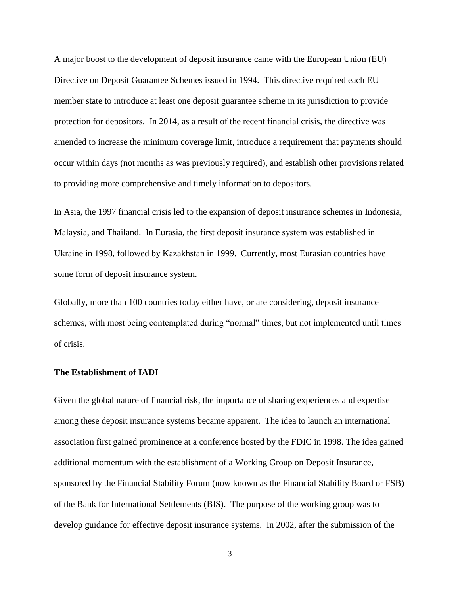A major boost to the development of deposit insurance came with the European Union (EU) Directive on Deposit Guarantee Schemes issued in 1994. This directive required each EU member state to introduce at least one deposit guarantee scheme in its jurisdiction to provide protection for depositors. In 2014, as a result of the recent financial crisis, the directive was amended to increase the minimum coverage limit, introduce a requirement that payments should occur within days (not months as was previously required), and establish other provisions related to providing more comprehensive and timely information to depositors.

In Asia, the 1997 financial crisis led to the expansion of deposit insurance schemes in Indonesia, Malaysia, and Thailand. In Eurasia, the first deposit insurance system was established in Ukraine in 1998, followed by Kazakhstan in 1999. Currently, most Eurasian countries have some form of deposit insurance system.

Globally, more than 100 countries today either have, or are considering, deposit insurance schemes, with most being contemplated during "normal" times, but not implemented until times of crisis.

# **The Establishment of IADI**

Given the global nature of financial risk, the importance of sharing experiences and expertise among these deposit insurance systems became apparent. The idea to launch an international association first gained prominence at a conference hosted by the FDIC in 1998. The idea gained additional momentum with the establishment of a Working Group on Deposit Insurance, sponsored by the Financial Stability Forum (now known as the Financial Stability Board or FSB) of the Bank for International Settlements (BIS). The purpose of the working group was to develop guidance for effective deposit insurance systems. In 2002, after the submission of the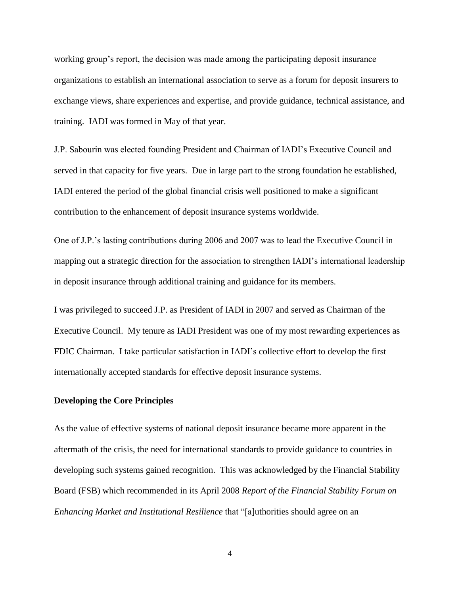working group's report, the decision was made among the participating deposit insurance organizations to establish an international association to serve as a forum for deposit insurers to exchange views, share experiences and expertise, and provide guidance, technical assistance, and training. IADI was formed in May of that year.

J.P. Sabourin was elected founding President and Chairman of IADI's Executive Council and served in that capacity for five years. Due in large part to the strong foundation he established, IADI entered the period of the global financial crisis well positioned to make a significant contribution to the enhancement of deposit insurance systems worldwide.

One of J.P.'s lasting contributions during 2006 and 2007 was to lead the Executive Council in mapping out a strategic direction for the association to strengthen IADI's international leadership in deposit insurance through additional training and guidance for its members.

I was privileged to succeed J.P. as President of IADI in 2007 and served as Chairman of the Executive Council. My tenure as IADI President was one of my most rewarding experiences as FDIC Chairman. I take particular satisfaction in IADI's collective effort to develop the first internationally accepted standards for effective deposit insurance systems.

# **Developing the Core Principles**

As the value of effective systems of national deposit insurance became more apparent in the aftermath of the crisis, the need for international standards to provide guidance to countries in developing such systems gained recognition. This was acknowledged by the Financial Stability Board (FSB) which recommended in its April 2008 *Report of the Financial Stability Forum on Enhancing Market and Institutional Resilience* that "[a]uthorities should agree on an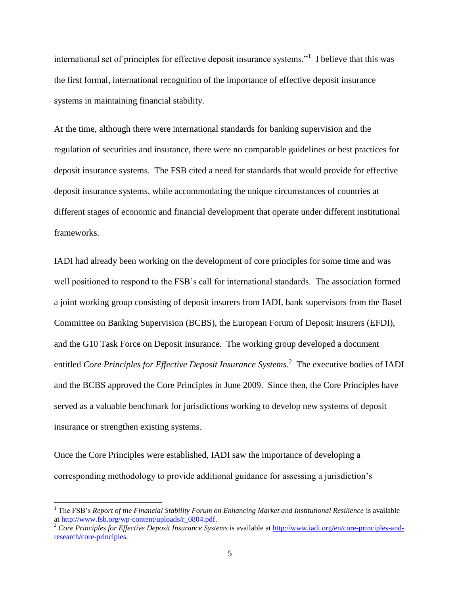international set of principles for effective deposit insurance systems."<sup>1</sup> I believe that this was the first formal, international recognition of the importance of effective deposit insurance systems in maintaining financial stability.

At the time, although there were international standards for banking supervision and the regulation of securities and insurance, there were no comparable guidelines or best practices for deposit insurance systems. The FSB cited a need for standards that would provide for effective deposit insurance systems, while accommodating the unique circumstances of countries at different stages of economic and financial development that operate under different institutional frameworks.

IADI had already been working on the development of core principles for some time and was well positioned to respond to the FSB's call for international standards. The association formed a joint working group consisting of deposit insurers from IADI, bank supervisors from the Basel Committee on Banking Supervision (BCBS), the European Forum of Deposit Insurers (EFDI), and the G10 Task Force on Deposit Insurance. The working group developed a document entitled *Core Principles for Effective Deposit Insurance Systems*. 2 The executive bodies of IADI and the BCBS approved the Core Principles in June 2009. Since then, the Core Principles have served as a valuable benchmark for jurisdictions working to develop new systems of deposit insurance or strengthen existing systems.

Once the Core Principles were established, IADI saw the importance of developing a corresponding methodology to provide additional guidance for assessing a jurisdiction's

 $\overline{\phantom{a}}$ 

<sup>1</sup> The FSB's *Report of the Financial Stability Forum on Enhancing Market and Institutional Resilience* is available a[t http://www.fsb.org/wp-content/uploads/r\\_0804.pdf.](http://www.fsb.org/wp-content/uploads/r_0804.pdf)

<sup>&</sup>lt;sup>2</sup> *Core Principles for Effective Deposit Insurance Systems* is available at [http://www.iadi.org/en/core-principles-and](http://www.iadi.org/en/core-principles-and-research/core-principles)[research/core-principles.](http://www.iadi.org/en/core-principles-and-research/core-principles)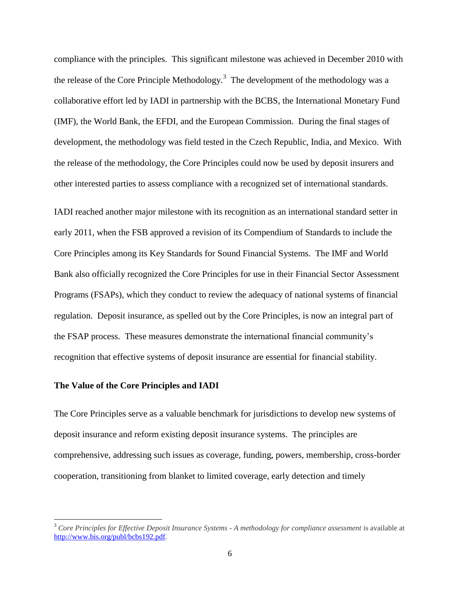compliance with the principles. This significant milestone was achieved in December 2010 with the release of the Core Principle Methodology.<sup>3</sup> The development of the methodology was a collaborative effort led by IADI in partnership with the BCBS, the International Monetary Fund (IMF), the World Bank, the EFDI, and the European Commission. During the final stages of development, the methodology was field tested in the Czech Republic, India, and Mexico. With the release of the methodology, the Core Principles could now be used by deposit insurers and other interested parties to assess compliance with a recognized set of international standards.

IADI reached another major milestone with its recognition as an international standard setter in early 2011, when the FSB approved a revision of its Compendium of Standards to include the Core Principles among its Key Standards for Sound Financial Systems. The IMF and World Bank also officially recognized the Core Principles for use in their Financial Sector Assessment Programs (FSAPs), which they conduct to review the adequacy of national systems of financial regulation. Deposit insurance, as spelled out by the Core Principles, is now an integral part of the FSAP process. These measures demonstrate the international financial community's recognition that effective systems of deposit insurance are essential for financial stability.

# **The Value of the Core Principles and IADI**

 $\overline{\phantom{a}}$ 

The Core Principles serve as a valuable benchmark for jurisdictions to develop new systems of deposit insurance and reform existing deposit insurance systems. The principles are comprehensive, addressing such issues as coverage, funding, powers, membership, cross-border cooperation, transitioning from blanket to limited coverage, early detection and timely

<sup>3</sup> *Core Principles for Effective Deposit Insurance Systems - A methodology for compliance assessment* is available at [http://www.bis.org/publ/bcbs192.pdf.](http://www.bis.org/publ/bcbs192.pdf)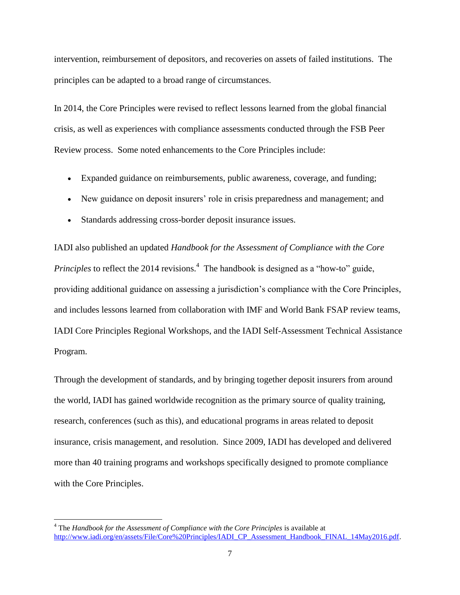intervention, reimbursement of depositors, and recoveries on assets of failed institutions. The principles can be adapted to a broad range of circumstances.

In 2014, the Core Principles were revised to reflect lessons learned from the global financial crisis, as well as experiences with compliance assessments conducted through the FSB Peer Review process. Some noted enhancements to the Core Principles include:

- Expanded guidance on reimbursements, public awareness, coverage, and funding;
- New guidance on deposit insurers' role in crisis preparedness and management; and
- Standards addressing cross-border deposit insurance issues.

IADI also published an updated *Handbook for the Assessment of Compliance with the Core Principles* to reflect the 2014 revisions.<sup>4</sup> The handbook is designed as a "how-to" guide, providing additional guidance on assessing a jurisdiction's compliance with the Core Principles, and includes lessons learned from collaboration with IMF and World Bank FSAP review teams, IADI Core Principles Regional Workshops, and the IADI Self-Assessment Technical Assistance Program.

Through the development of standards, and by bringing together deposit insurers from around the world, IADI has gained worldwide recognition as the primary source of quality training, research, conferences (such as this), and educational programs in areas related to deposit insurance, crisis management, and resolution. Since 2009, IADI has developed and delivered more than 40 training programs and workshops specifically designed to promote compliance with the Core Principles.

 $\overline{\phantom{a}}$ 

<sup>&</sup>lt;sup>4</sup> The *Handbook for the Assessment of Compliance with the Core Principles is available at* [http://www.iadi.org/en/assets/File/Core%20Principles/IADI\\_CP\\_Assessment\\_Handbook\\_FINAL\\_14May2016.pdf.](http://www.iadi.org/en/assets/File/Core%20Principles/IADI_CP_Assessment_Handbook_FINAL_14May2016.pdf)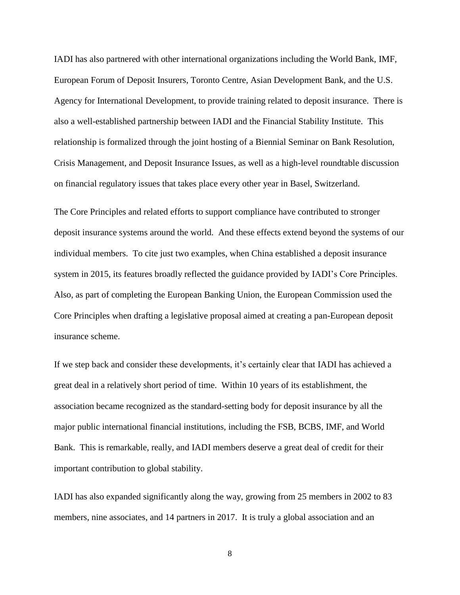IADI has also partnered with other international organizations including the World Bank, IMF, European Forum of Deposit Insurers, Toronto Centre, Asian Development Bank, and the U.S. Agency for International Development, to provide training related to deposit insurance. There is also a well-established partnership between IADI and the Financial Stability Institute. This relationship is formalized through the joint hosting of a Biennial Seminar on Bank Resolution, Crisis Management, and Deposit Insurance Issues, as well as a high-level roundtable discussion on financial regulatory issues that takes place every other year in Basel, Switzerland.

The Core Principles and related efforts to support compliance have contributed to stronger deposit insurance systems around the world. And these effects extend beyond the systems of our individual members. To cite just two examples, when China established a deposit insurance system in 2015, its features broadly reflected the guidance provided by IADI's Core Principles. Also, as part of completing the European Banking Union, the European Commission used the Core Principles when drafting a legislative proposal aimed at creating a pan-European deposit insurance scheme.

If we step back and consider these developments, it's certainly clear that IADI has achieved a great deal in a relatively short period of time. Within 10 years of its establishment, the association became recognized as the standard-setting body for deposit insurance by all the major public international financial institutions, including the FSB, BCBS, IMF, and World Bank. This is remarkable, really, and IADI members deserve a great deal of credit for their important contribution to global stability.

IADI has also expanded significantly along the way, growing from 25 members in 2002 to 83 members, nine associates, and 14 partners in 2017. It is truly a global association and an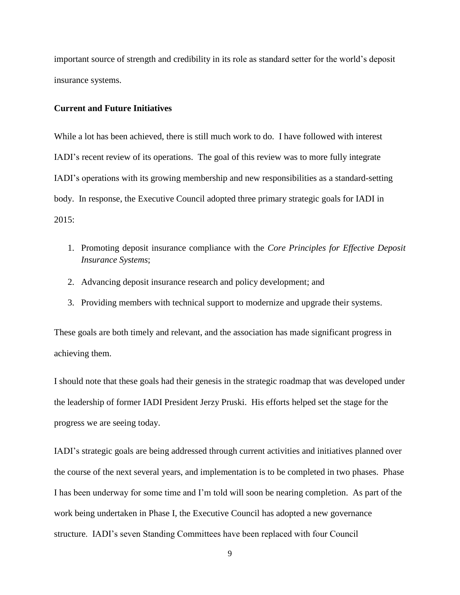important source of strength and credibility in its role as standard setter for the world's deposit insurance systems.

#### **Current and Future Initiatives**

While a lot has been achieved, there is still much work to do. I have followed with interest IADI's recent review of its operations. The goal of this review was to more fully integrate IADI's operations with its growing membership and new responsibilities as a standard-setting body. In response, the Executive Council adopted three primary strategic goals for IADI in 2015:

- 1. Promoting deposit insurance compliance with the *Core Principles for Effective Deposit Insurance Systems*;
- 2. Advancing deposit insurance research and policy development; and
- 3. Providing members with technical support to modernize and upgrade their systems.

These goals are both timely and relevant, and the association has made significant progress in achieving them.

I should note that these goals had their genesis in the strategic roadmap that was developed under the leadership of former IADI President Jerzy Pruski. His efforts helped set the stage for the progress we are seeing today.

IADI's strategic goals are being addressed through current activities and initiatives planned over the course of the next several years, and implementation is to be completed in two phases. Phase I has been underway for some time and I'm told will soon be nearing completion. As part of the work being undertaken in Phase I, the Executive Council has adopted a new governance structure. IADI's seven Standing Committees have been replaced with four Council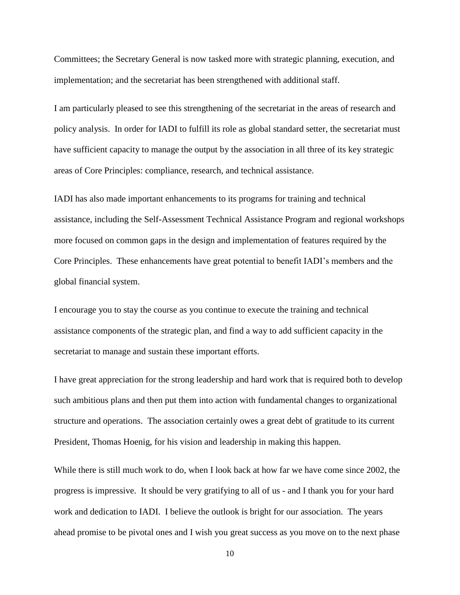Committees; the Secretary General is now tasked more with strategic planning, execution, and implementation; and the secretariat has been strengthened with additional staff.

I am particularly pleased to see this strengthening of the secretariat in the areas of research and policy analysis. In order for IADI to fulfill its role as global standard setter, the secretariat must have sufficient capacity to manage the output by the association in all three of its key strategic areas of Core Principles: compliance, research, and technical assistance.

IADI has also made important enhancements to its programs for training and technical assistance, including the Self-Assessment Technical Assistance Program and regional workshops more focused on common gaps in the design and implementation of features required by the Core Principles. These enhancements have great potential to benefit IADI's members and the global financial system.

I encourage you to stay the course as you continue to execute the training and technical assistance components of the strategic plan, and find a way to add sufficient capacity in the secretariat to manage and sustain these important efforts.

I have great appreciation for the strong leadership and hard work that is required both to develop such ambitious plans and then put them into action with fundamental changes to organizational structure and operations. The association certainly owes a great debt of gratitude to its current President, Thomas Hoenig, for his vision and leadership in making this happen.

While there is still much work to do, when I look back at how far we have come since 2002, the progress is impressive. It should be very gratifying to all of us - and I thank you for your hard work and dedication to IADI. I believe the outlook is bright for our association. The years ahead promise to be pivotal ones and I wish you great success as you move on to the next phase